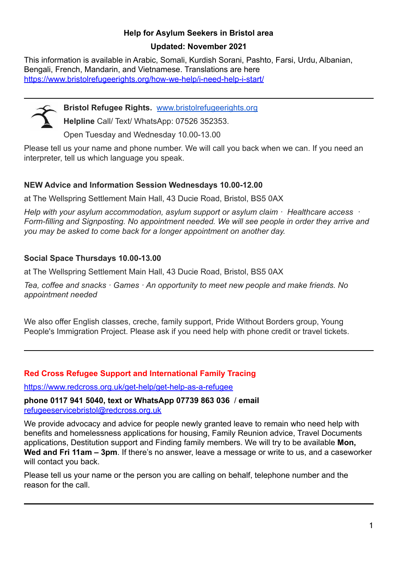# **Help for Asylum Seekers in Bristol area**

#### **Updated: November 2021**

This information is available in Arabic, Somali, Kurdish Sorani, Pashto, Farsi, Urdu, Albanian, Bengali, French, Mandarin, and Vietnamese. Translations are here <https://www.bristolrefugeerights.org/how-we-help/i-need-help-i-start/>



**Bristol Refugee Rights.** [www.bristolrefugeerights.org](http://www.bristolrefugeerights.org/)

**Helpline** Call/ Text/ WhatsApp: 07526 352353.

Open Tuesday and Wednesday 10.00-13.00

Please tell us your name and phone number. We will call you back when we can. If you need an interpreter, tell us which language you speak.

# **NEW Advice and Information Session Wednesdays 10.00-12.00**

at The Wellspring Settlement Main Hall, 43 Ducie Road, Bristol, BS5 0AX

*Help with your asylum accommodation, asylum support or asylum claim · Healthcare access · Form-filling and Signposting. No appointment needed. We will see people in order they arrive and you may be asked to come back for a longer appointment on another day.*

# **Social Space Thursdays 10.00-13.00**

at The Wellspring Settlement Main Hall, 43 Ducie Road, Bristol, BS5 0AX

*Tea, coffee and snacks · Games · An opportunity to meet new people and make friends. No appointment needed*

We also offer English classes, creche, family support, Pride Without Borders group, Young People's Immigration Project. Please ask if you need help with phone credit or travel tickets.

#### **Red Cross Refugee Support and International Family Tracing**

<https://www.redcross.org.uk/get-help/get-help-as-a-refugee>

**phone 0117 941 5040, text or WhatsApp 07739 863 036** / **email** [refugeeservicebristol@redcross.org.uk](mailto:refugeeservicebristol@redcross.org.uk)

We provide advocacy and advice for people newly granted leave to remain who need help with benefits and homelessness applications for housing, Family Reunion advice, Travel Documents applications, Destitution support and Finding family members. We will try to be available **Mon, Wed and Fri 11am – 3pm**. If there's no answer, leave a message or write to us, and a caseworker will contact you back.

Please tell us your name or the person you are calling on behalf, telephone number and the reason for the call.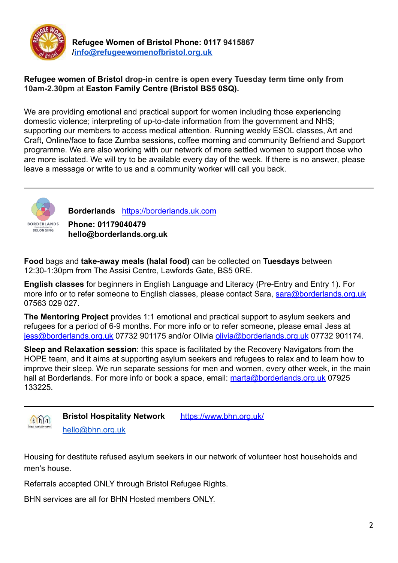

**Refugee Women of Bristol Phone: 0117 9415867 [/info@refugeewomenofbristol.org.uk](mailto:info@refugeewomenofbristol.org.uk)**

#### **Refugee women of Bristol drop-in centre is open every Tuesday term time only from 10am-2.30pm** at **Easton Family Centre (Bristol BS5 0SQ).**

We are providing emotional and practical support for women including those experiencing domestic violence; interpreting of up-to-date information from the government and NHS; supporting our members to access medical attention. Running weekly ESOL classes, Art and Craft, Online/face to face Zumba sessions, coffee morning and community Befriend and Support programme. We are also working with our network of more settled women to support those who are more isolated. We will try to be available every day of the week. If there is no answer, please leave a message or write to us and a community worker will call you back.



**Borderlands** <https://borderlands.uk.com>

**Phone: 01179040479 hello@borderlands.org.uk**

**Food** bags and **take-away meals (halal food)** can be collected on **Tuesdays** between 12:30-1:30pm from The Assisi Centre, Lawfords Gate, BS5 0RE.

**English classes** for beginners in English Language and Literacy (Pre-Entry and Entry 1). For more info or to refer someone to English classes, please contact Sara, sara@borderlands.org.uk 07563 029 027.

**The Mentoring Project** provides 1:1 emotional and practical support to asylum seekers and refugees for a period of 6-9 months. For more info or to refer someone, please email Jess at [jess@borderlands.org.uk](mailto:jess@borderlands.org.uk) 07732 901175 and/or Olivia [olivia@borderlands.org.uk](mailto:olivia@orderlands.org.uk) 07732 901174.

**Sleep and Relaxation session**: this space is facilitated by the Recovery Navigators from the HOPE team, and it aims at supporting asylum seekers and refugees to relax and to learn how to improve their sleep. We run separate sessions for men and women, every other week, in the main hall at Borderlands. For more info or book a space, email: [marta@borderlands.org.uk](mailto:marta@borderlands.org.uk) 07925 133225.



**Bristol Hospitality Network** <https://www.bhn.org.uk/> hello@bhn.org.uk

Housing for destitute refused asylum seekers in our network of volunteer host households and men's house.

Referrals accepted ONLY through Bristol Refugee Rights.

BHN services are all for BHN Hosted members ONLY.